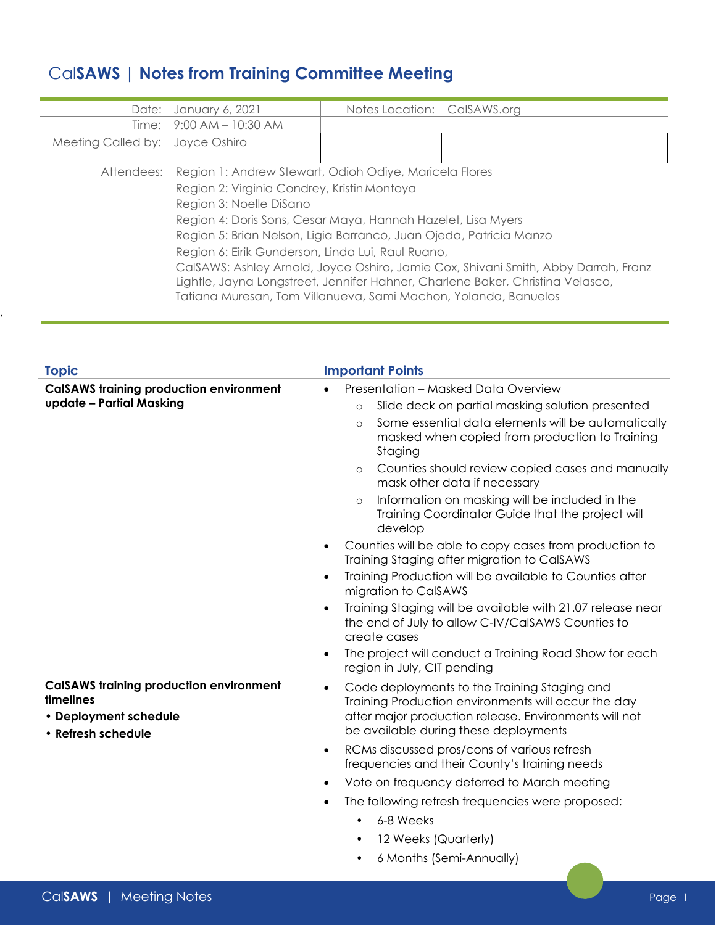## Cal**SAWS | Notes from Training Committee Meeting**

| Date:                           | January 6, 2021                                                                    | Notes Location: CalSAWS.org |  |  |  |  |
|---------------------------------|------------------------------------------------------------------------------------|-----------------------------|--|--|--|--|
|                                 | Time: 9:00 AM - 10:30 AM                                                           |                             |  |  |  |  |
| Meeting Called by: Joyce Oshiro |                                                                                    |                             |  |  |  |  |
| Attendees:                      | Region 1: Andrew Stewart, Odioh Odiye, Maricela Flores                             |                             |  |  |  |  |
|                                 | Region 2: Virginia Condrey, Kristin Montoya                                        |                             |  |  |  |  |
|                                 | Region 3: Noelle DiSano                                                            |                             |  |  |  |  |
|                                 | Region 4: Doris Sons, Cesar Maya, Hannah Hazelet, Lisa Myers                       |                             |  |  |  |  |
|                                 | Region 5: Brian Nelson, Ligia Barranco, Juan Ojeda, Patricia Manzo                 |                             |  |  |  |  |
|                                 | Region 6: Eirik Gunderson, Linda Lui, Raul Ruano,                                  |                             |  |  |  |  |
|                                 | CalSAWS: Ashley Arnold, Joyce Oshiro, Jamie Cox, Shivani Smith, Abby Darrah, Franz |                             |  |  |  |  |
|                                 | Lightle, Jayna Longstreet, Jennifer Hahner, Charlene Baker, Christina Velasco,     |                             |  |  |  |  |
|                                 | Tatiana Muresan, Tom Villanueva, Sami Machon, Yolanda, Banuelos                    |                             |  |  |  |  |

| <b>Topic</b>                                                                                               | <b>Important Points</b>                                                                                                                                                                                                                                                                                                                                                                                                                                                                                                                                                                                                                                                                                                                                                                                                           |  |  |  |
|------------------------------------------------------------------------------------------------------------|-----------------------------------------------------------------------------------------------------------------------------------------------------------------------------------------------------------------------------------------------------------------------------------------------------------------------------------------------------------------------------------------------------------------------------------------------------------------------------------------------------------------------------------------------------------------------------------------------------------------------------------------------------------------------------------------------------------------------------------------------------------------------------------------------------------------------------------|--|--|--|
| <b>CalSAWS training production environment</b><br>update - Partial Masking                                 | Presentation - Masked Data Overview<br>Slide deck on partial masking solution presented<br>$\circ$<br>Some essential data elements will be automatically<br>$\circ$<br>masked when copied from production to Training<br>Staging<br>Counties should review copied cases and manually<br>$\circ$<br>mask other data if necessary<br>Information on masking will be included in the<br>$\circ$<br>Training Coordinator Guide that the project will<br>develop<br>Counties will be able to copy cases from production to<br>$\bullet$<br>Training Staging after migration to CalSAWS<br>Training Production will be available to Counties after<br>$\bullet$<br>migration to CalSAWS<br>Training Staging will be available with 21.07 release near<br>$\bullet$<br>the end of July to allow C-IV/CaISAWS Counties to<br>create cases |  |  |  |
| <b>CalSAWS training production environment</b><br>timelines<br>• Deployment schedule<br>• Refresh schedule | The project will conduct a Training Road Show for each<br>region in July, CIT pending<br>Code deployments to the Training Staging and<br>Training Production environments will occur the day<br>after major production release. Environments will not<br>be available during these deployments<br>RCMs discussed pros/cons of various refresh<br>frequencies and their County's training needs<br>Vote on frequency deferred to March meeting<br>The following refresh frequencies were proposed:<br>6-8 Weeks<br>$\bullet$<br>12 Weeks (Quarterly)<br>$\bullet$<br>6 Months (Semi-Annually)                                                                                                                                                                                                                                      |  |  |  |

,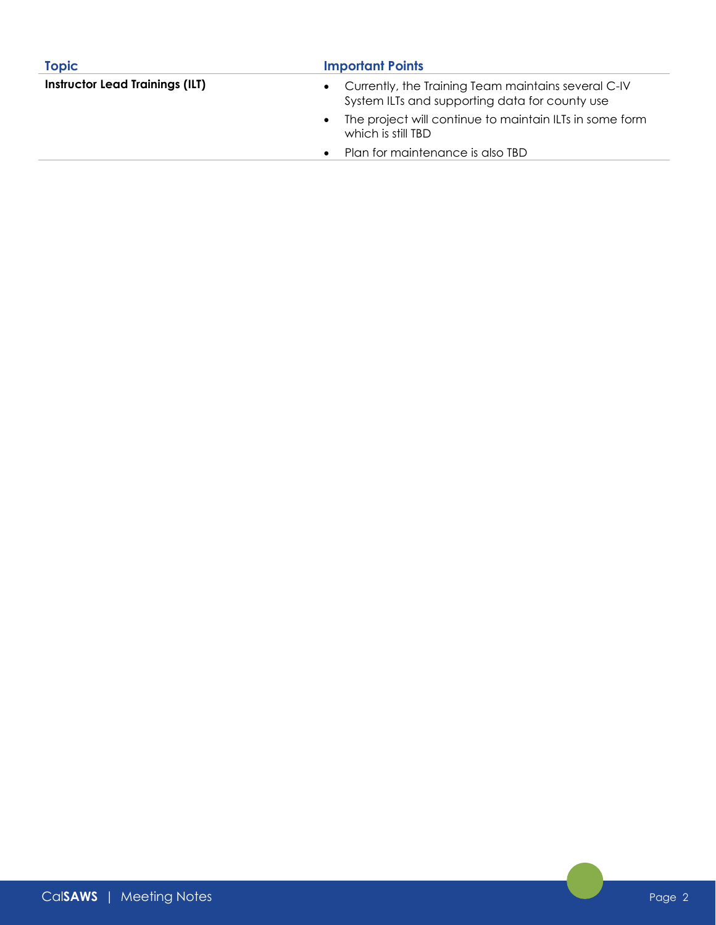| <b>Topic</b>                           | <b>Important Points</b>                                                                                            |  |  |
|----------------------------------------|--------------------------------------------------------------------------------------------------------------------|--|--|
| <b>Instructor Lead Trainings (ILT)</b> | Currently, the Training Team maintains several C-IV<br>$\bullet$<br>System ILTs and supporting data for county use |  |  |
|                                        | The project will continue to maintain ILTs in some form<br>$\bullet$<br>which is still TBD                         |  |  |
|                                        | Plan for maintenance is also TBD<br>$\bullet$                                                                      |  |  |
|                                        |                                                                                                                    |  |  |